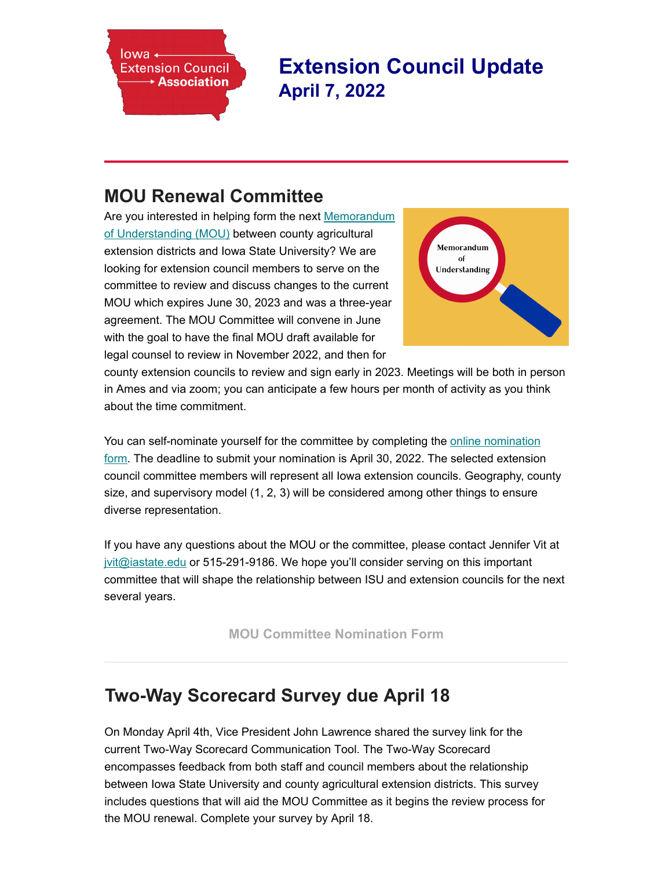

**Extension Council Updat[e](javascript:;) April 7, 2022**

# **[MOU Renewal Co](http://www.iacec.info/)mmittee**

Are you interested in helping form the next Memorandum of Understanding (MOU) between county agricultural extension districts and Iowa State University? We are looking for extension council members to serve on the committee to review and discuss changes to the current MOU which expires June 30, 2023 and was a three-year [agreement. The MOU Committee will convene in June](https://www.iaextensioncouncils.org/mou-documents) with the goal to have the final MOU draft available for legal counsel to review in November 2022, and then for



county extension councils to review and sign early in 2023. Meetings will be both in person in Ames and via zoom; you can anticipate a few hours per month of activity as you think about the time commitment.

You can self-nominate yourself for the committee by completing the online nomination form. The deadline to submit your nomination is April 30, 2022. The selected extension council committee members will represent all Iowa extension councils. Geography, county size, and supervisory model (1, 2, 3) will be considered among other things to ensure diverse representation.

[If you have any questions about the MOU or the committee, please contact Jennifer Vi](https://iastate.qualtrics.com/jfe/form/SV_0Grb3E3txZzq3aK)t at [jvit@iastate.edu](mailto:jvit@iastate.edu) or 515-291-9186. We hope you'll consider serving on this important committee that will shape the relationship between ISU and extension councils for the next several years.

**[MOU Committee Nomination Form](https://iastate.qualtrics.com/jfe/form/SV_0Grb3E3txZzq3aK)**

## **Two-Way Scorecard Survey due April 18**

On Monday April 4th, Vice President John Lawrence shared the survey link for the current Two-Way Scorecard Communication Tool. The Two-Way Scorecard encompasses feedback from both staff and council members about the relationship between Iowa State University and county agricultural extension districts. This survey includes questions that will aid the MOU Committee as it begins the review process for the MOU renewal. Complete your survey by April 18.